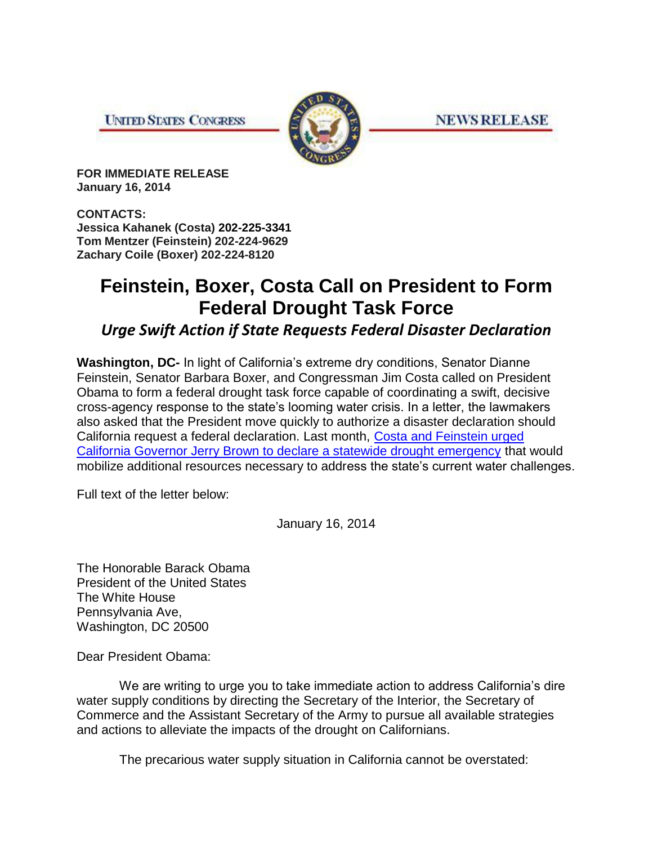**UNITED STATES CONGRESS** 



**NEWS RELEASE** 

**FOR IMMEDIATE RELEASE January 16, 2014** 

**CONTACTS: Jessica Kahanek (Costa) 202-225-3341 Tom Mentzer (Feinstein) 202-224-9629 Zachary Coile (Boxer) 202-224-8120**

## **Feinstein, Boxer, Costa Call on President to Form Federal Drought Task Force**

*Urge Swift Action if State Requests Federal Disaster Declaration*

**Washington, DC-** In light of California's extreme dry conditions, Senator Dianne Feinstein, Senator Barbara Boxer, and Congressman Jim Costa called on President Obama to form a federal drought task force capable of coordinating a swift, decisive cross-agency response to the state's looming water crisis. In a letter, the lawmakers also asked that the President move quickly to authorize a disaster declaration should California request a federal declaration. Last month, [Costa and Feinstein urged](http://costa.house.gov/index.php/2013-press-releases/1004-feinstein-costa-call-for-drought-emergency-declaration)  [California Governor Jerry Brown to declare a statewide drought emergency](http://costa.house.gov/index.php/2013-press-releases/1004-feinstein-costa-call-for-drought-emergency-declaration) that would mobilize additional resources necessary to address the state's current water challenges.

Full text of the letter below:

January 16, 2014

The Honorable Barack Obama President of the United States The White House Pennsylvania Ave, Washington, DC 20500

Dear President Obama:

 We are writing to urge you to take immediate action to address California's dire water supply conditions by directing the Secretary of the Interior, the Secretary of Commerce and the Assistant Secretary of the Army to pursue all available strategies and actions to alleviate the impacts of the drought on Californians.

The precarious water supply situation in California cannot be overstated: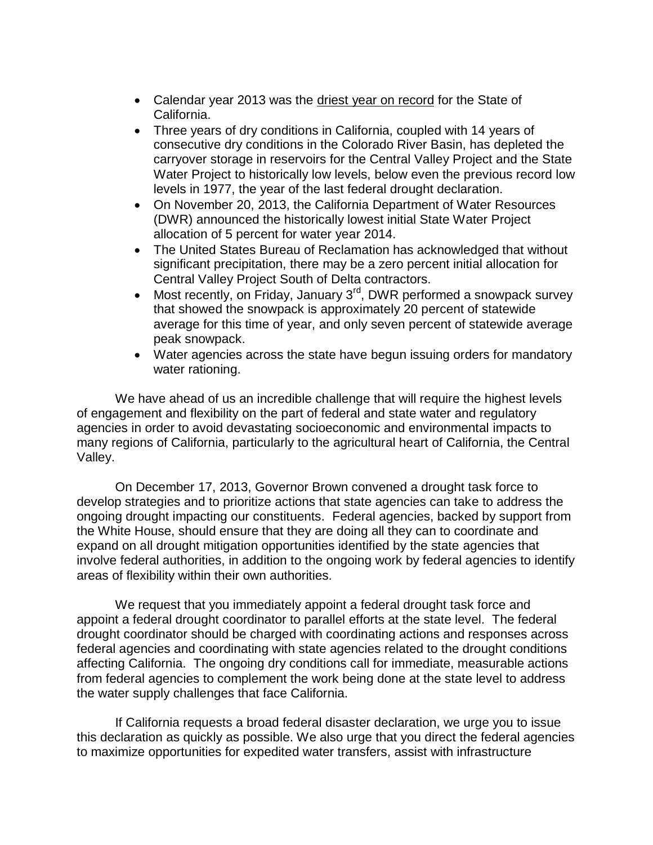- Calendar year 2013 was the driest year on record for the State of California.
- Three years of dry conditions in California, coupled with 14 years of consecutive dry conditions in the Colorado River Basin, has depleted the carryover storage in reservoirs for the Central Valley Project and the State Water Project to historically low levels, below even the previous record low levels in 1977, the year of the last federal drought declaration.
- On November 20, 2013, the California Department of Water Resources (DWR) announced the historically lowest initial State Water Project allocation of 5 percent for water year 2014.
- The United States Bureau of Reclamation has acknowledged that without significant precipitation, there may be a zero percent initial allocation for Central Valley Project South of Delta contractors.
- Most recently, on Friday, January  $3<sup>rd</sup>$ , DWR performed a snowpack survey that showed the snowpack is approximately 20 percent of statewide average for this time of year, and only seven percent of statewide average peak snowpack.
- Water agencies across the state have begun issuing orders for mandatory water rationing.

We have ahead of us an incredible challenge that will require the highest levels of engagement and flexibility on the part of federal and state water and regulatory agencies in order to avoid devastating socioeconomic and environmental impacts to many regions of California, particularly to the agricultural heart of California, the Central Valley.

On December 17, 2013, Governor Brown convened a drought task force to develop strategies and to prioritize actions that state agencies can take to address the ongoing drought impacting our constituents. Federal agencies, backed by support from the White House, should ensure that they are doing all they can to coordinate and expand on all drought mitigation opportunities identified by the state agencies that involve federal authorities, in addition to the ongoing work by federal agencies to identify areas of flexibility within their own authorities.

We request that you immediately appoint a federal drought task force and appoint a federal drought coordinator to parallel efforts at the state level. The federal drought coordinator should be charged with coordinating actions and responses across federal agencies and coordinating with state agencies related to the drought conditions affecting California. The ongoing dry conditions call for immediate, measurable actions from federal agencies to complement the work being done at the state level to address the water supply challenges that face California.

If California requests a broad federal disaster declaration, we urge you to issue this declaration as quickly as possible. We also urge that you direct the federal agencies to maximize opportunities for expedited water transfers, assist with infrastructure